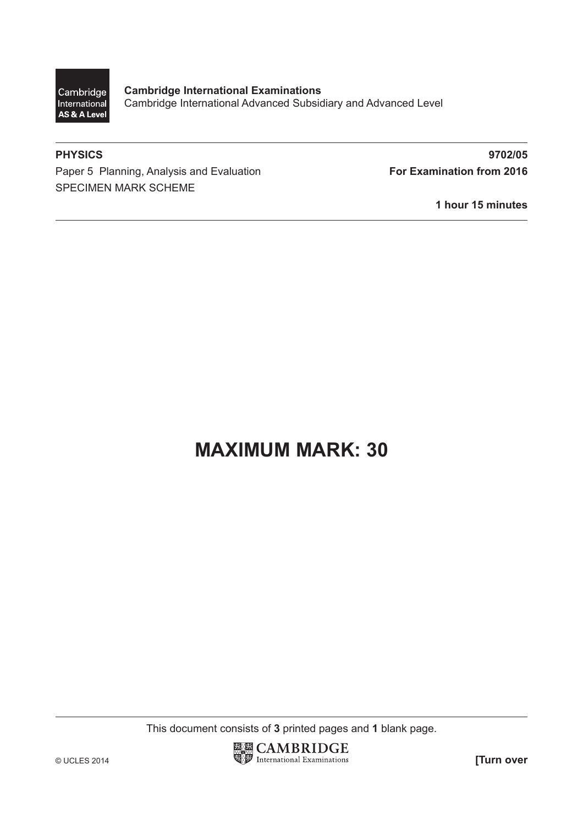

**Cambridge International Examinations** Cambridge International Advanced Subsidiary and Advanced Level

Paper 5 Planning, Analysis and Evaluation **For Examination from 2016** SPECIMEN MARK SCHEME

**PHYSICS 9702/05**

**1 hour 15 minutes**

# **MAXIMUM MARK: 30**

This document consists of **3** printed pages and **1** blank page.

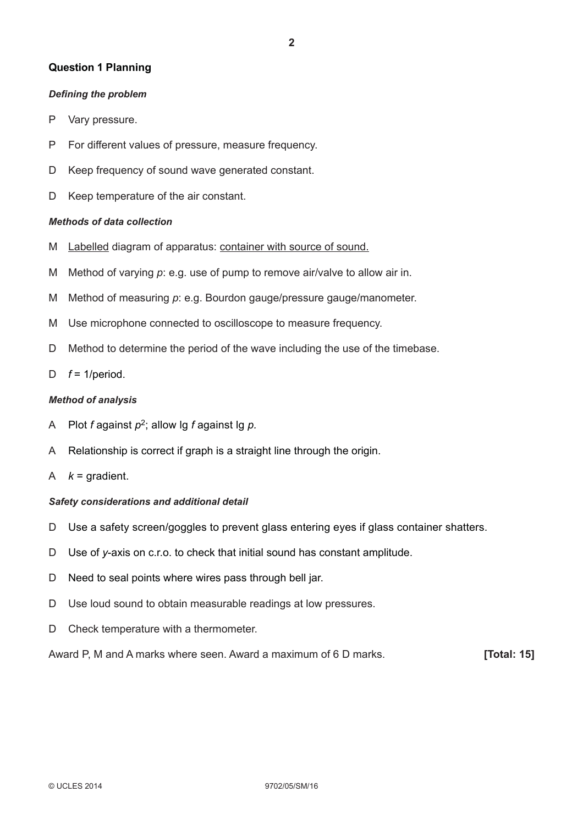#### **Question 1 Planning**

#### **Defining the problem**

- P Vary pressure.
- P For different values of pressure, measure frequency.
- D Keep frequency of sound wave generated constant.
- D Keep temperature of the air constant.

#### *Methods of data collection*

- M Labelled diagram of apparatus: container with source of sound.
- M Method of varying *p*: e.g. use of pump to remove air/valve to allow air in.
- M Method of measuring *p*: e.g. Bourdon gauge/pressure gauge/manometer.
- M Use microphone connected to oscilloscope to measure frequency.
- D Method to determine the period of the wave including the use of the timebase.
- D  $f = 1/\text{period}$ .

#### *Method of analysis*

- A Plot *f* against *p*2; allow lg *f* against lg *p.*
- A Relationship is correct if graph is a straight line through the origin.
- A  $k =$  gradient.

#### *Safety considerations and additional detail*

- D Use a safety screen/goggles to prevent glass entering eyes if glass container shatters.
- D Use of *y*-axis on c.r.o. to check that initial sound has constant amplitude.
- D Need to seal points where wires pass through bell jar.
- D Use loud sound to obtain measurable readings at low pressures.
- D Check temperature with a thermometer.

Award P, M and A marks where seen. Award a maximum of 6 D marks. **[Total: 15]**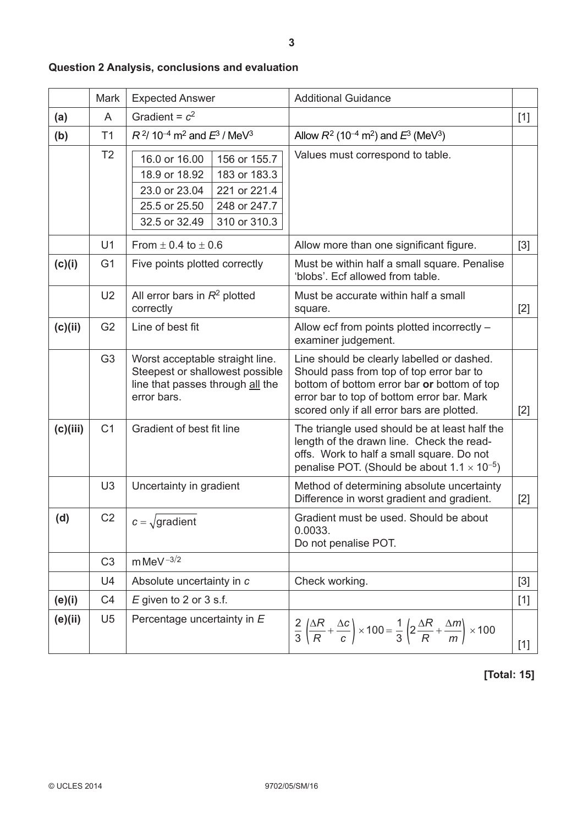|          | Mark           | <b>Expected Answer</b>                                                                                                                                            | <b>Additional Guidance</b>                                                                                                                                                                                                        |       |
|----------|----------------|-------------------------------------------------------------------------------------------------------------------------------------------------------------------|-----------------------------------------------------------------------------------------------------------------------------------------------------------------------------------------------------------------------------------|-------|
| (a)      | A              | Gradient = $c^2$                                                                                                                                                  |                                                                                                                                                                                                                                   | $[1]$ |
| (b)      | T1             | $R^2$ / 10 <sup>-4</sup> m <sup>2</sup> and $E^3$ / MeV <sup>3</sup>                                                                                              | Allow $R^2$ (10 <sup>-4</sup> m <sup>2</sup> ) and $E^3$ (MeV <sup>3</sup> )                                                                                                                                                      |       |
|          | T <sub>2</sub> | 16.0 or 16.00<br>156 or 155.7<br>18.9 or 18.92<br>183 or 183.3<br>23.0 or 23.04<br>221 or 221.4<br>25.5 or 25.50<br>248 or 247.7<br>32.5 or 32.49<br>310 or 310.3 | Values must correspond to table.                                                                                                                                                                                                  |       |
|          | U1             | From $\pm$ 0.4 to $\pm$ 0.6                                                                                                                                       | Allow more than one significant figure.                                                                                                                                                                                           | $[3]$ |
| (c)(i)   | G <sub>1</sub> | Five points plotted correctly                                                                                                                                     | Must be within half a small square. Penalise<br>'blobs'. Ecf allowed from table.                                                                                                                                                  |       |
|          | U <sub>2</sub> | All error bars in $R^2$ plotted<br>correctly                                                                                                                      | Must be accurate within half a small<br>square.                                                                                                                                                                                   | $[2]$ |
| (c)(ii)  | G <sub>2</sub> | Line of best fit                                                                                                                                                  | Allow ecf from points plotted incorrectly -<br>examiner judgement.                                                                                                                                                                |       |
|          | G <sub>3</sub> | Worst acceptable straight line.<br>Steepest or shallowest possible<br>line that passes through all the<br>error bars.                                             | Line should be clearly labelled or dashed.<br>Should pass from top of top error bar to<br>bottom of bottom error bar or bottom of top<br>error bar to top of bottom error bar. Mark<br>scored only if all error bars are plotted. | $[2]$ |
| (c)(iii) | C <sub>1</sub> | Gradient of best fit line                                                                                                                                         | The triangle used should be at least half the<br>length of the drawn line. Check the read-<br>offs. Work to half a small square. Do not<br>penalise POT. (Should be about $1.1 \times 10^{-5}$ )                                  |       |
|          | U <sub>3</sub> | Uncertainty in gradient                                                                                                                                           | Method of determining absolute uncertainty<br>Difference in worst gradient and gradient.                                                                                                                                          | $[2]$ |
| (d)      | C <sub>2</sub> | $c = \sqrt{gradient}$                                                                                                                                             | Gradient must be used. Should be about<br>0.0033.<br>Do not penalise POT.                                                                                                                                                         |       |
|          | C <sub>3</sub> | mMeV $^{-3/2}$                                                                                                                                                    |                                                                                                                                                                                                                                   |       |
|          | U4             | Absolute uncertainty in c                                                                                                                                         | Check working.                                                                                                                                                                                                                    | $[3]$ |
| (e)(i)   | C <sub>4</sub> | $E$ given to 2 or 3 s.f.                                                                                                                                          |                                                                                                                                                                                                                                   | $[1]$ |
| (e)(ii)  | U <sub>5</sub> | Percentage uncertainty in E                                                                                                                                       | $\frac{2}{3}\left(\frac{\Delta R}{R}+\frac{\Delta c}{c}\right)\times 100=\frac{1}{3}\left(2\frac{\Delta R}{R}+\frac{\Delta m}{m}\right)\times 100$                                                                                | $[1]$ |

## **Question 2 Analysis, conclusions and evaluation**

**[Total: 15]**